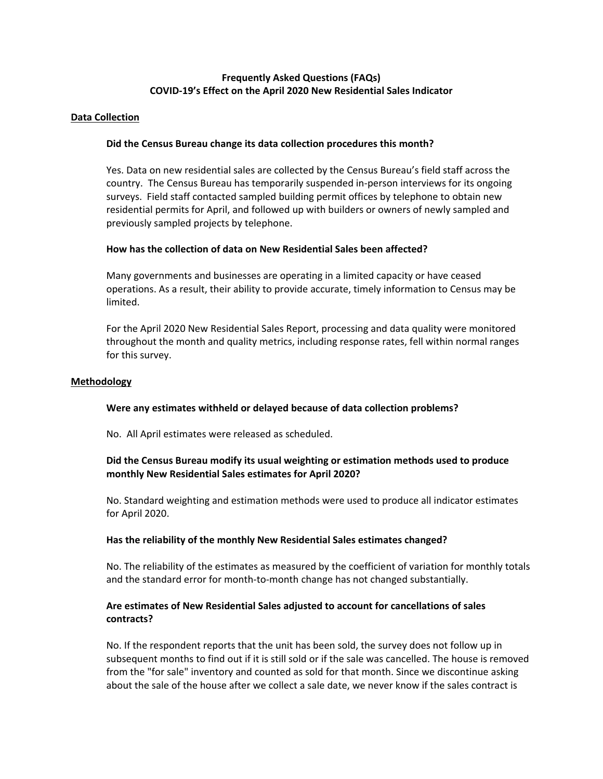# **Frequently Asked Questions (FAQs) COVID-19's Effect on the April 2020 New Residential Sales Indicator**

### **Data Collection**

## **Did the Census Bureau change its data collection procedures this month?**

Yes. Data on new residential sales are collected by the Census Bureau's field staff across the country. The Census Bureau has temporarily suspended in-person interviews for its ongoing surveys. Field staff contacted sampled building permit offices by telephone to obtain new residential permits for April, and followed up with builders or owners of newly sampled and previously sampled projects by telephone.

## **How has the collection of data on New Residential Sales been affected?**

Many governments and businesses are operating in a limited capacity or have ceased operations. As a result, their ability to provide accurate, timely information to Census may be limited.

For the April 2020 New Residential Sales Report, processing and data quality were monitored throughout the month and quality metrics, including response rates, fell within normal ranges for this survey.

#### **Methodology**

## **Were any estimates withheld or delayed because of data collection problems?**

No. All April estimates were released as scheduled.

# **Did the Census Bureau modify its usual weighting or estimation methods used to produce monthly New Residential Sales estimates for April 2020?**

No. Standard weighting and estimation methods were used to produce all indicator estimates for April 2020.

#### **Has the reliability of the monthly New Residential Sales estimates changed?**

No. The reliability of the estimates as measured by the coefficient of variation for monthly totals and the standard error for month-to-month change has not changed substantially.

## **Are estimates of New Residential Sales adjusted to account for cancellations of sales contracts?**

No. If the respondent reports that the unit has been sold, the survey does not follow up in subsequent months to find out if it is still sold or if the sale was cancelled. The house is removed from the "for sale" inventory and counted as sold for that month. Since we discontinue asking about the sale of the house after we collect a sale date, we never know if the sales contract is